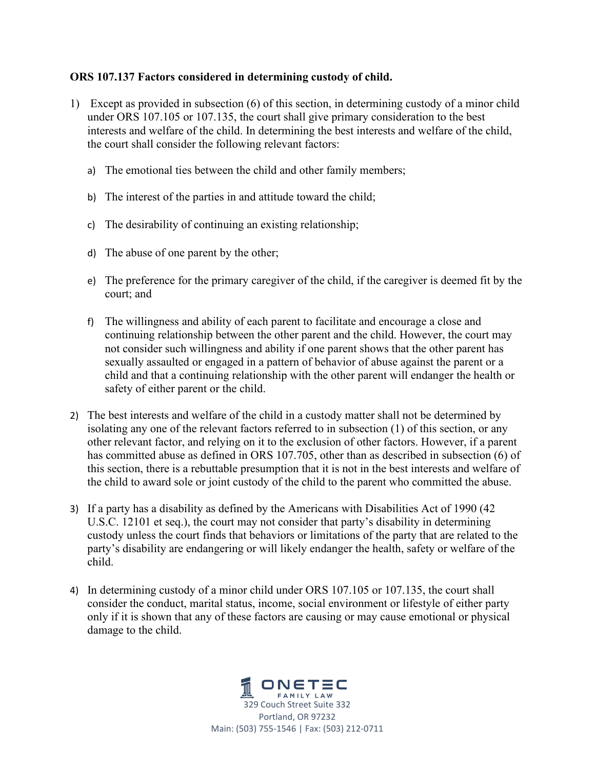## **ORS 107.137 Factors considered in determining custody of child.**

- 1) Except as provided in subsection (6) of this section, in determining custody of a minor child under ORS 107.105 or 107.135, the court shall give primary consideration to the best interests and welfare of the child. In determining the best interests and welfare of the child, the court shall consider the following relevant factors:
	- a) The emotional ties between the child and other family members;
	- b) The interest of the parties in and attitude toward the child;
	- c) The desirability of continuing an existing relationship;
	- d) The abuse of one parent by the other;
	- e) The preference for the primary caregiver of the child, if the caregiver is deemed fit by the court; and
	- f) The willingness and ability of each parent to facilitate and encourage a close and continuing relationship between the other parent and the child. However, the court may not consider such willingness and ability if one parent shows that the other parent has sexually assaulted or engaged in a pattern of behavior of abuse against the parent or a child and that a continuing relationship with the other parent will endanger the health or safety of either parent or the child.
- 2) The best interests and welfare of the child in a custody matter shall not be determined by isolating any one of the relevant factors referred to in subsection (1) of this section, or any other relevant factor, and relying on it to the exclusion of other factors. However, if a parent has committed abuse as defined in ORS 107.705, other than as described in subsection (6) of this section, there is a rebuttable presumption that it is not in the best interests and welfare of the child to award sole or joint custody of the child to the parent who committed the abuse.
- 3) If a party has a disability as defined by the Americans with Disabilities Act of 1990 (42 U.S.C. 12101 et seq.), the court may not consider that party's disability in determining custody unless the court finds that behaviors or limitations of the party that are related to the party's disability are endangering or will likely endanger the health, safety or welfare of the child.
- 4) In determining custody of a minor child under ORS 107.105 or 107.135, the court shall consider the conduct, marital status, income, social environment or lifestyle of either party only if it is shown that any of these factors are causing or may cause emotional or physical damage to the child.